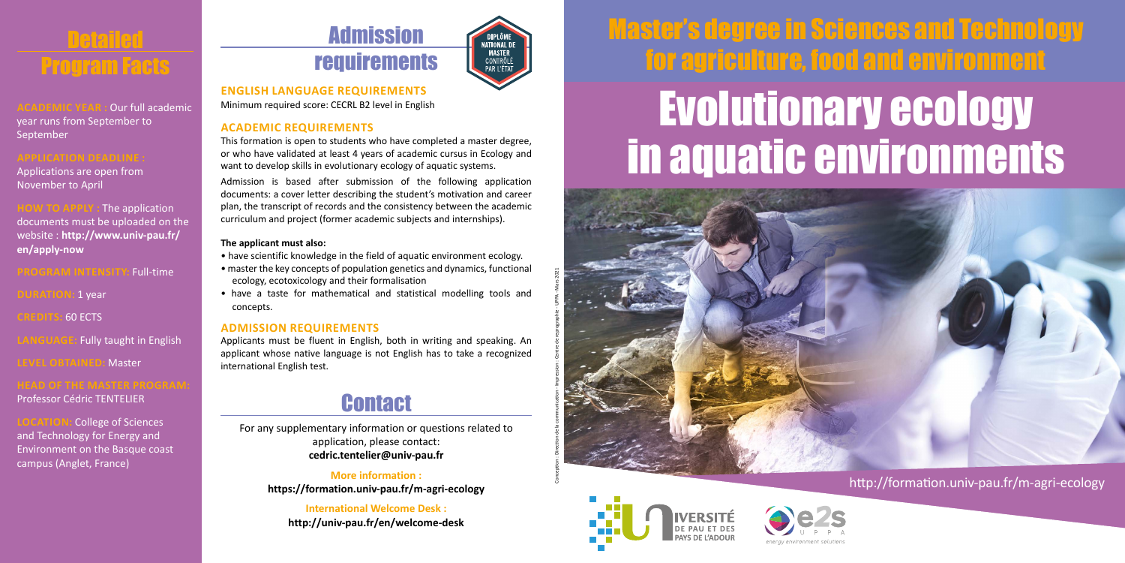

**Our full academic** year runs from September to September

Applications are open from November to April

**HOW TO APPLY :** The application documents must be uploaded on the website : **http://www.univ-pau.fr/ en/apply-now**

**PROGRAM INTENSITY:** Full-time

**DURATION:** 1 year

**CREDITS:** 60 ECTS

**Fully taught in English** 

**LEMaster** 

**HEAD OF THE MASTER PROG** 

Professor Cédric TENTELIER

**College of Sciences** and Technology for Energy and Environment on the Basque coast campus (Anglet, France)

## Admission requirements

NATIONAI DI MATIONAL<br>MASTER<br>CONTRÔLÉ PAR L'ÉTA

**ENGLISH LANGUAGE REQUIREMENTS** Minimum required score: CECRL B2 level in English

#### **ACADEMIC REQUIREMENTS**

This formation is open to students who have completed a master degree, or who have validated at least 4 years of academic cursus in Ecology and want to develop skills in evolutionary ecology of aquatic systems.

Admission is based after submission of the following application documents: a cover letter describing the student's motivation and career plan, the transcript of records and the consistency between the academic curriculum and project (former academic subjects and internships).

#### **The applicant must also:**

- have scientific knowledge in the field of aquatic environment ecology.
- master the key concepts of population genetics and dynamics, functional ecology, ecotoxicology and their formalisation
- have a taste for mathematical and statistical modelling tools and concepts.

#### **ADMISSION REQUIREMENTS**

Applicants must be fluent in English, both in writing and speaking. An applicant whose native language is not English has to take a recognized international English test.

### **Contact**

For any supplementary information or questions related to application, please contact: **cedric.tentelier@univ-pau.fr**

> **More information : https://formation.univ-pau.fr/m-agri-ecology**

**International Welcome Desk : http://univ-pau.fr/en/welcome-desk**

# Master's degree in Sciences and Technology for agriculture, food and environment

## Evolutionary ecology in aquatic environments



#### http://formation.univ-pau.fr/m-agri-ecology



Conception : Direction de la communication - Impression : Centre de reprographie - UPPA - Mars 2021